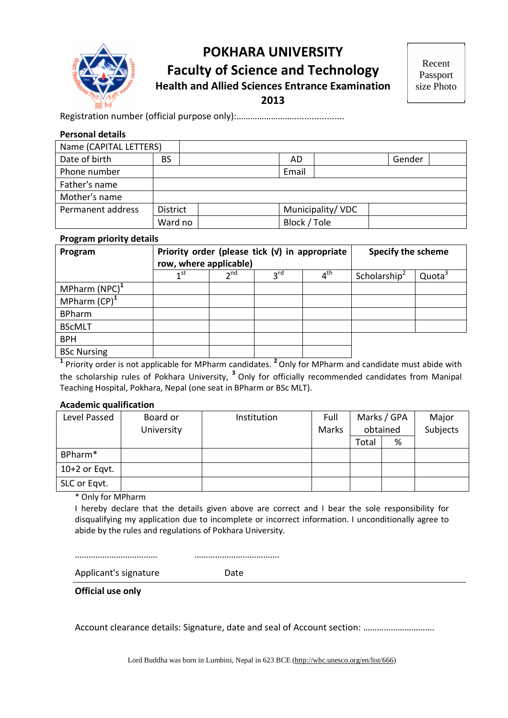

## **POKHARA UNIVERSITY Faculty of Science and Technology Health and Allied Sciences Entrance Examination**

**2013**

Registration number (official purpose only):…………………….....................

#### **Personal details**

| Name (CAPITAL LETTERS) |                 |              |                  |        |  |
|------------------------|-----------------|--------------|------------------|--------|--|
| Date of birth          | <b>BS</b>       | AD.          |                  | Gender |  |
| Phone number           |                 | Email        |                  |        |  |
| Father's name          |                 |              |                  |        |  |
| Mother's name          |                 |              |                  |        |  |
| Permanent address      | <b>District</b> |              | Municipality/VDC |        |  |
|                        | Ward no         | Block / Tole |                  |        |  |

#### **Program priority details**

| Program                   | Priority order (please tick $(V)$ in appropriate<br>row, where applicable) |                 |                 |              | <b>Specify the scheme</b> |                    |  |
|---------------------------|----------------------------------------------------------------------------|-----------------|-----------------|--------------|---------------------------|--------------------|--|
|                           | 1 <sup>st</sup>                                                            | $\mathsf{h}$ nd | 3 <sup>rd</sup> | $4^{\sf th}$ | Scholarship <sup>2</sup>  | Quota <sup>3</sup> |  |
| MPharm (NPC) <sup>1</sup> |                                                                            |                 |                 |              |                           |                    |  |
| MPharm $(CP)^1$           |                                                                            |                 |                 |              |                           |                    |  |
| <b>BPharm</b>             |                                                                            |                 |                 |              |                           |                    |  |
| <b>BScMLT</b>             |                                                                            |                 |                 |              |                           |                    |  |
| <b>BPH</b>                |                                                                            |                 |                 |              |                           |                    |  |
| <b>BSc Nursing</b>        |                                                                            |                 |                 |              |                           |                    |  |

**1** Priority order is not applicable for MPharm candidates. **2** Only for MPharm and candidate must abide with the scholarship rules of Pokhara University, **<sup>3</sup>** Only for officially recommended candidates from Manipal Teaching Hospital, Pokhara, Nepal (one seat in BPharm or BSc MLT).

#### **Academic qualification**

| Level Passed    | Board or<br>University | Institution | Full<br>Marks |       | Marks / GPA<br>obtained | Major<br>Subjects |
|-----------------|------------------------|-------------|---------------|-------|-------------------------|-------------------|
|                 |                        |             |               | Total | %                       |                   |
| BPharm*         |                        |             |               |       |                         |                   |
| $10+2$ or Eqvt. |                        |             |               |       |                         |                   |
| SLC or Eqvt.    |                        |             |               |       |                         |                   |

\* Only for MPharm

I hereby declare that the details given above are correct and I bear the sole responsibility for disqualifying my application due to incomplete or incorrect information. I unconditionally agree to abide by the rules and regulations of Pokhara University.

……………………………… ……………………………….

Applicant's signature Date

**Official use only** 

Account clearance details: Signature, date and seal of Account section: ………………………….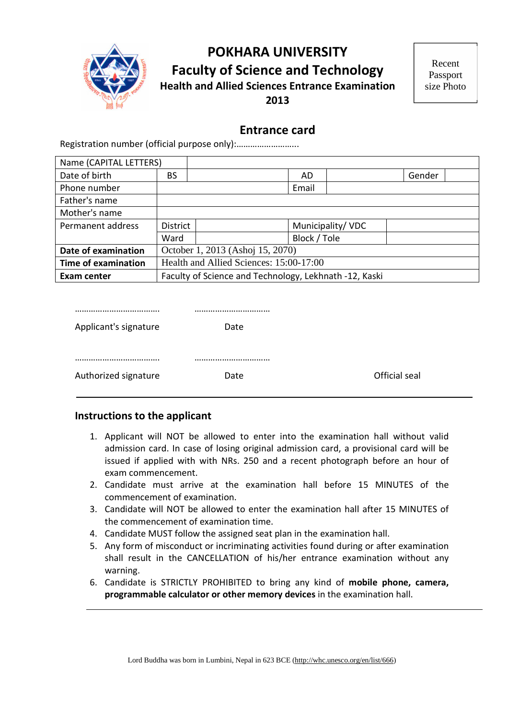

## **POKHARA UNIVERSITY Faculty of Science and Technology Health and Allied Sciences Entrance Examination 2013**

## **Entrance card**

Registration number (official purpose only):……………………...

| Name (CAPITAL LETTERS)     |                                                        |  |                  |  |        |
|----------------------------|--------------------------------------------------------|--|------------------|--|--------|
| Date of birth              | BS                                                     |  | AD               |  | Gender |
| Phone number               |                                                        |  | Email            |  |        |
| Father's name              |                                                        |  |                  |  |        |
| Mother's name              |                                                        |  |                  |  |        |
| Permanent address          | <b>District</b>                                        |  | Municipality/VDC |  |        |
|                            | Ward                                                   |  | Block / Tole     |  |        |
| Date of examination        | October 1, 2013 (Ashoj 15, 2070)                       |  |                  |  |        |
| <b>Time of examination</b> | Health and Allied Sciences: 15:00-17:00                |  |                  |  |        |
| <b>Exam center</b>         | Faculty of Science and Technology, Lekhnath -12, Kaski |  |                  |  |        |

| Applicant's signature | Date |               |
|-----------------------|------|---------------|
|                       |      |               |
|                       |      |               |
|                       |      |               |
| Authorized signature  | Date | Official seal |
|                       |      |               |

#### **Instructions to the applicant**

- 1. Applicant will NOT be allowed to enter into the examination hall without valid admission card. In case of losing original admission card, a provisional card will be issued if applied with with NRs. 250 and a recent photograph before an hour of exam commencement.
- 2. Candidate must arrive at the examination hall before 15 MINUTES of the commencement of examination.
- 3. Candidate will NOT be allowed to enter the examination hall after 15 MINUTES of the commencement of examination time.
- 4. Candidate MUST follow the assigned seat plan in the examination hall.
- 5. Any form of misconduct or incriminating activities found during or after examination shall result in the CANCELLATION of his/her entrance examination without any warning.
- 6. Candidate is STRICTLY PROHIBITED to bring any kind of **mobile phone, camera, programmable calculator or other memory devices** in the examination hall.